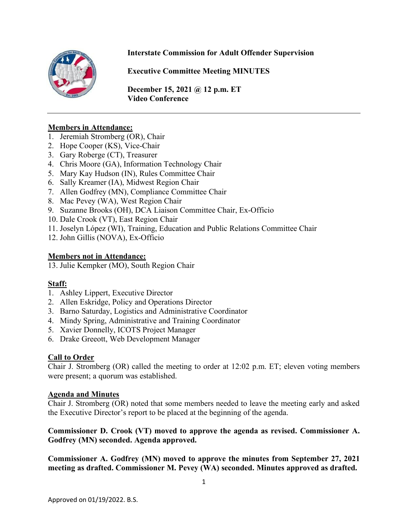

# **Interstate Commission for Adult Offender Supervision**

**Executive Committee Meeting MINUTES**

**December 15, 2021 @ 12 p.m. ET Video Conference** 

#### **Members in Attendance:**

- 1. Jeremiah Stromberg (OR), Chair
- 2. Hope Cooper (KS), Vice-Chair
- 3. Gary Roberge (CT), Treasurer
- 4. Chris Moore (GA), Information Technology Chair
- 5. Mary Kay Hudson (IN), Rules Committee Chair
- 6. Sally Kreamer (IA), Midwest Region Chair
- 7. Allen Godfrey (MN), Compliance Committee Chair
- 8. Mac Pevey (WA), West Region Chair
- 9. Suzanne Brooks (OH), DCA Liaison Committee Chair, Ex-Officio
- 10. Dale Crook (VT), East Region Chair
- 11. Joselyn López (WI), Training, Education and Public Relations Committee Chair
- 12. John Gillis (NOVA), Ex-Officio

#### **Members not in Attendance:**

13. Julie Kempker (MO), South Region Chair

# **Staff:**

- 1. Ashley Lippert, Executive Director
- 2. Allen Eskridge, Policy and Operations Director
- 3. Barno Saturday, Logistics and Administrative Coordinator
- 4. Mindy Spring, Administrative and Training Coordinator
- 5. Xavier Donnelly, ICOTS Project Manager
- 6. Drake Greeott, Web Development Manager

# **Call to Order**

Chair J. Stromberg (OR) called the meeting to order at 12:02 p.m. ET; eleven voting members were present; a quorum was established.

#### **Agenda and Minutes**

Chair J. Stromberg (OR) noted that some members needed to leave the meeting early and asked the Executive Director's report to be placed at the beginning of the agenda.

#### **Commissioner D. Crook (VT) moved to approve the agenda as revised. Commissioner A. Godfrey (MN) seconded. Agenda approved.**

**Commissioner A. Godfrey (MN) moved to approve the minutes from September 27, 2021 meeting as drafted. Commissioner M. Pevey (WA) seconded. Minutes approved as drafted.**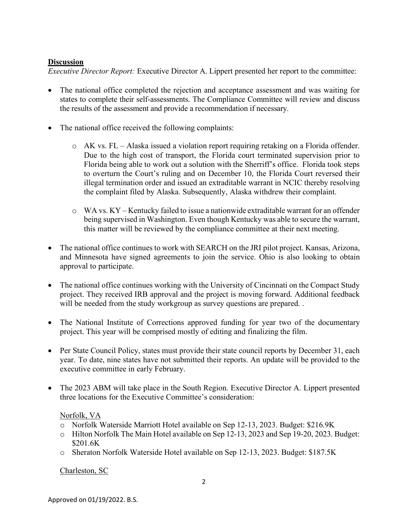# **Discussion**

*Executive Director Report:* Executive Director A. Lippert presented her report to the committee:

- The national office completed the rejection and acceptance assessment and was waiting for states to complete their self-assessments. The Compliance Committee will review and discuss the results of the assessment and provide a recommendation if necessary.
- The national office received the following complaints:
	- o AK vs. FL Alaska issued a violation report requiring retaking on a Florida offender. Due to the high cost of transport, the Florida court terminated supervision prior to Florida being able to work out a solution with the Sherriff's office. Florida took steps to overturn the Court's ruling and on December 10, the Florida Court reversed their illegal termination order and issued an extraditable warrant in NCIC thereby resolving the complaint filed by Alaska. Subsequently, Alaska withdrew their complaint.
	- o WA vs. KY Kentucky failed to issue a nationwide extraditable warrant for an offender being supervised in Washington. Even though Kentucky was able to secure the warrant, this matter will be reviewed by the compliance committee at their next meeting.
- The national office continues to work with SEARCH on the JRI pilot project. Kansas, Arizona, and Minnesota have signed agreements to join the service. Ohio is also looking to obtain approval to participate.
- The national office continues working with the University of Cincinnati on the Compact Study project. They received IRB approval and the project is moving forward. Additional feedback will be needed from the study workgroup as survey questions are prepared...
- The National Institute of Corrections approved funding for year two of the documentary project. This year will be comprised mostly of editing and finalizing the film.
- Per State Council Policy, states must provide their state council reports by December 31, each year. To date, nine states have not submitted their reports. An update will be provided to the executive committee in early February.
- The 2023 ABM will take place in the South Region. Executive Director A. Lippert presented three locations for the Executive Committee's consideration:

# Norfolk, VA

- o Norfolk Waterside Marriott Hotel available on Sep 12‐13, 2023. Budget: \$216.9K
- o Hilton Norfolk The Main Hotel available on Sep 12‐13, 2023 and Sep 19‐20, 2023. Budget: \$201.6K
- o Sheraton Norfolk Waterside Hotel available on Sep 12‐13, 2023. Budget: \$187.5K

Charleston, SC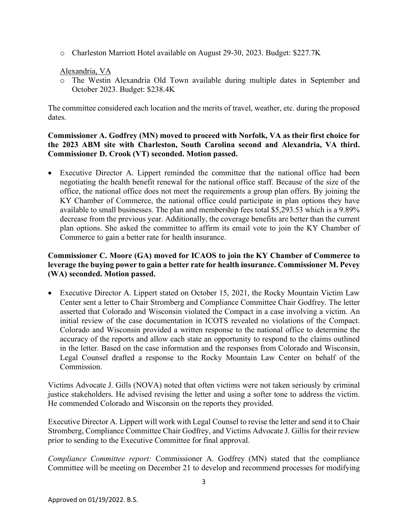o Charleston Marriott Hotel available on August 29‐30, 2023. Budget: \$227.7K

#### Alexandria, VA

o The Westin Alexandria Old Town available during multiple dates in September and October 2023. Budget: \$238.4K

The committee considered each location and the merits of travel, weather, etc. during the proposed dates.

#### **Commissioner A. Godfrey (MN) moved to proceed with Norfolk, VA as their first choice for the 2023 ABM site with Charleston, South Carolina second and Alexandria, VA third. Commissioner D. Crook (VT) seconded. Motion passed.**

• Executive Director A. Lippert reminded the committee that the national office had been negotiating the health benefit renewal for the national office staff. Because of the size of the office, the national office does not meet the requirements a group plan offers. By joining the KY Chamber of Commerce, the national office could participate in plan options they have available to small businesses. The plan and membership fees total \$5,293.53 which is a 9.89% decrease from the previous year. Additionally, the coverage benefits are better than the current plan options. She asked the committee to affirm its email vote to join the KY Chamber of Commerce to gain a better rate for health insurance.

# **Commissioner C. Moore (GA) moved for ICAOS to join the KY Chamber of Commerce to leverage the buying power to gain a better rate for health insurance. Commissioner M. Pevey (WA) seconded. Motion passed.**

• Executive Director A. Lippert stated on October 15, 2021, the Rocky Mountain Victim Law Center sent a letter to Chair Stromberg and Compliance Committee Chair Godfrey. The letter asserted that Colorado and Wisconsin violated the Compact in a case involving a victim. An initial review of the case documentation in ICOTS revealed no violations of the Compact. Colorado and Wisconsin provided a written response to the national office to determine the accuracy of the reports and allow each state an opportunity to respond to the claims outlined in the letter. Based on the case information and the responses from Colorado and Wisconsin, Legal Counsel drafted a response to the Rocky Mountain Law Center on behalf of the Commission.

Victims Advocate J. Gills (NOVA) noted that often victims were not taken seriously by criminal justice stakeholders. He advised revising the letter and using a softer tone to address the victim. He commended Colorado and Wisconsin on the reports they provided.

Executive Director A. Lippert will work with Legal Counsel to revise the letter and send it to Chair Stromberg, Compliance Committee Chair Godfrey, and Victims Advocate J. Gillis for their review prior to sending to the Executive Committee for final approval.

*Compliance Committee report:* Commissioner A. Godfrey (MN) stated that the compliance Committee will be meeting on December 21 to develop and recommend processes for modifying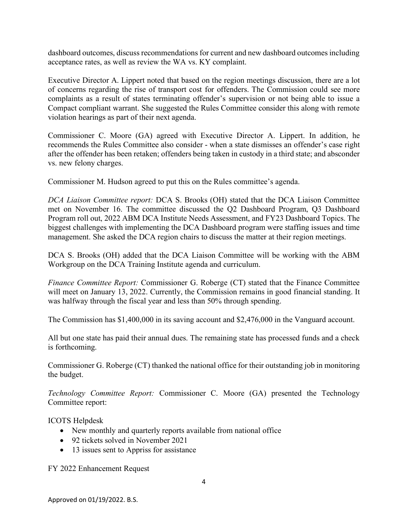dashboard outcomes, discuss recommendations for current and new dashboard outcomes including acceptance rates, as well as review the WA vs. KY complaint.

Executive Director A. Lippert noted that based on the region meetings discussion, there are a lot of concerns regarding the rise of transport cost for offenders. The Commission could see more complaints as a result of states terminating offender's supervision or not being able to issue a Compact compliant warrant. She suggested the Rules Committee consider this along with remote violation hearings as part of their next agenda.

Commissioner C. Moore (GA) agreed with Executive Director A. Lippert. In addition, he recommends the Rules Committee also consider - when a state dismisses an offender's case right after the offender has been retaken; offenders being taken in custody in a third state; and absconder vs. new felony charges.

Commissioner M. Hudson agreed to put this on the Rules committee's agenda.

*DCA Liaison Committee report:* DCA S. Brooks (OH) stated that the DCA Liaison Committee met on November 16. The committee discussed the Q2 Dashboard Program, Q3 Dashboard Program roll out, 2022 ABM DCA Institute Needs Assessment, and FY23 Dashboard Topics. The biggest challenges with implementing the DCA Dashboard program were staffing issues and time management. She asked the DCA region chairs to discuss the matter at their region meetings.

DCA S. Brooks (OH) added that the DCA Liaison Committee will be working with the ABM Workgroup on the DCA Training Institute agenda and curriculum.

*Finance Committee Report:* Commissioner G. Roberge (CT) stated that the Finance Committee will meet on January 13, 2022. Currently, the Commission remains in good financial standing. It was halfway through the fiscal year and less than 50% through spending.

The Commission has \$1,400,000 in its saving account and \$2,476,000 in the Vanguard account.

All but one state has paid their annual dues. The remaining state has processed funds and a check is forthcoming.

Commissioner G. Roberge (CT) thanked the national office for their outstanding job in monitoring the budget.

*Technology Committee Report:* Commissioner C. Moore (GA) presented the Technology Committee report:

4

ICOTS Helpdesk

- New monthly and quarterly reports available from national office
- 92 tickets solved in November 2021
- 13 issues sent to Appriss for assistance

FY 2022 Enhancement Request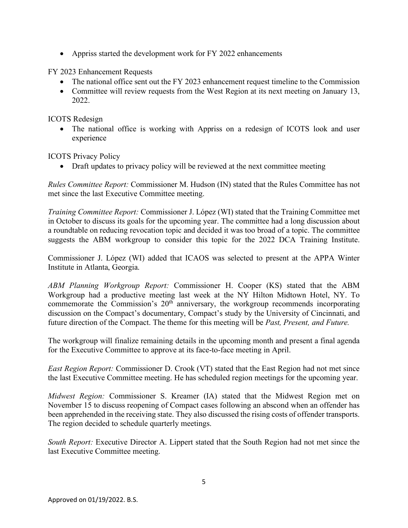• Appriss started the development work for FY 2022 enhancements

FY 2023 Enhancement Requests

- The national office sent out the FY 2023 enhancement request timeline to the Commission
- Committee will review requests from the West Region at its next meeting on January 13, 2022.

ICOTS Redesign

• The national office is working with Appriss on a redesign of ICOTS look and user experience

ICOTS Privacy Policy

• Draft updates to privacy policy will be reviewed at the next committee meeting

*Rules Committee Report:* Commissioner M. Hudson (IN) stated that the Rules Committee has not met since the last Executive Committee meeting.

*Training Committee Report:* Commissioner J. López (WI) stated that the Training Committee met in October to discuss its goals for the upcoming year. The committee had a long discussion about a roundtable on reducing revocation topic and decided it was too broad of a topic. The committee suggests the ABM workgroup to consider this topic for the 2022 DCA Training Institute.

Commissioner J. López (WI) added that ICAOS was selected to present at the APPA Winter Institute in Atlanta, Georgia.

*ABM Planning Workgroup Report:* Commissioner H. Cooper (KS) stated that the ABM Workgroup had a productive meeting last week at the NY Hilton Midtown Hotel, NY. To commemorate the Commission's  $20<sup>th</sup>$  anniversary, the workgroup recommends incorporating discussion on the Compact's documentary, Compact's study by the University of Cincinnati, and future direction of the Compact. The theme for this meeting will be *Past, Present, and Future.*

The workgroup will finalize remaining details in the upcoming month and present a final agenda for the Executive Committee to approve at its face-to-face meeting in April.

*East Region Report:* Commissioner D. Crook (VT) stated that the East Region had not met since the last Executive Committee meeting. He has scheduled region meetings for the upcoming year.

*Midwest Region:* Commissioner S. Kreamer (IA) stated that the Midwest Region met on November 15 to discuss reopening of Compact cases following an abscond when an offender has been apprehended in the receiving state. They also discussed the rising costs of offender transports. The region decided to schedule quarterly meetings.

*South Report:* Executive Director A. Lippert stated that the South Region had not met since the last Executive Committee meeting.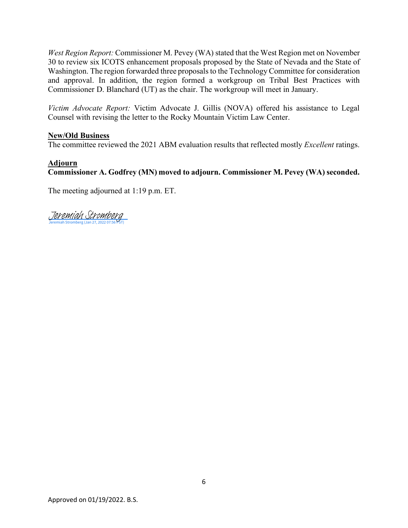*West Region Report:* Commissioner M. Pevey (WA) stated that the West Region met on November 30 to review six ICOTS enhancement proposals proposed by the State of Nevada and the State of Washington. The region forwarded three proposals to the Technology Committee for consideration and approval. In addition, the region formed a workgroup on Tribal Best Practices with Commissioner D. Blanchard (UT) as the chair. The workgroup will meet in January.

*Victim Advocate Report:* Victim Advocate J. Gillis (NOVA) offered his assistance to Legal Counsel with revising the letter to the Rocky Mountain Victim Law Center.

#### **New/Old Business**

The committee reviewed the 2021 ABM evaluation results that reflected mostly *Excellent* ratings.

#### **Adjourn**

# **Commissioner A. Godfrey (MN) moved to adjourn. Commissioner M. Pevey (WA) seconded.**

The meeting adjourned at 1:19 p.m. ET.

[Jeremiah Stromberg](https://eu1.documents.adobe.com/verifier?tx=CBJCHBCAABAAMUR4x5bHYGsq52Bm0AxTW2h2dEIpDt2d)<br>Jeremiah Stromberg (Jan 27, 2022 07:56 PST)